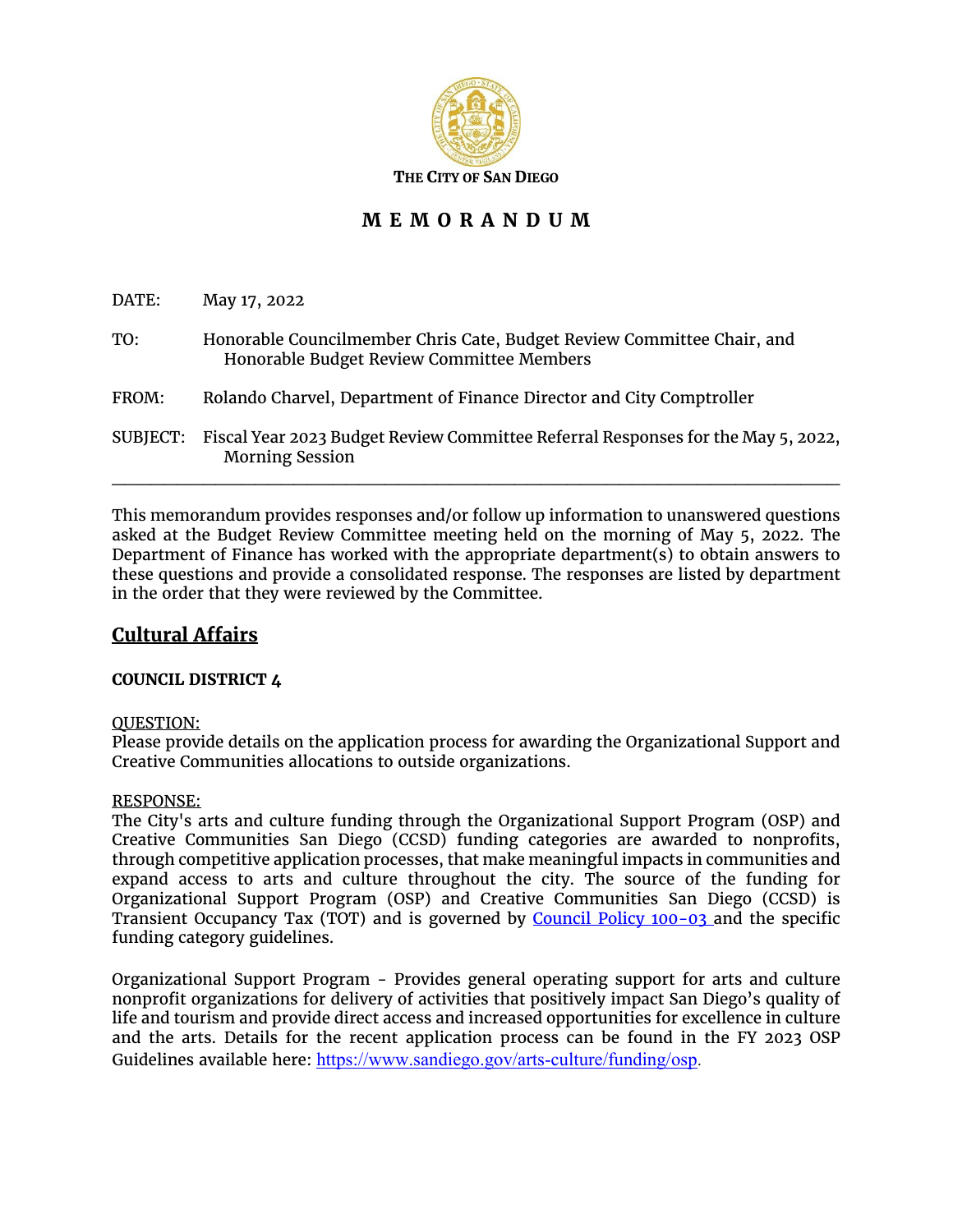

# **M E M O R A N D U M**

| DATE:    | May 17, 2022                                                                                                        |
|----------|---------------------------------------------------------------------------------------------------------------------|
| TO:      | Honorable Councilmember Chris Cate, Budget Review Committee Chair, and<br>Honorable Budget Review Committee Members |
| FROM:    | Rolando Charvel, Department of Finance Director and City Comptroller                                                |
| SUBJECT: | Fiscal Year 2023 Budget Review Committee Referral Responses for the May 5, 2022,<br><b>Morning Session</b>          |

This memorandum provides responses and/or follow up information to unanswered questions asked at the Budget Review Committee meeting held on the morning of May 5, 2022. The Department of Finance has worked with the appropriate department(s) to obtain answers to these questions and provide a consolidated response. The responses are listed by department in the order that they were reviewed by the Committee.

## **Cultural Affairs**

## **COUNCIL DISTRICT 4**

#### QUESTION:

Please provide details on the application process for awarding the Organizational Support and Creative Communities allocations to outside organizations.

#### RESPONSE:

The City's arts and culture funding through the Organizational Support Program (OSP) and Creative Communities San Diego (CCSD) funding categories are awarded to nonprofits, through competitive application processes, that make meaningful impacts in communities and expand access to arts and culture throughout the city. The source of the funding for Organizational Support Program (OSP) and Creative Communities San Diego (CCSD) is Transient Occupancy Tax (TOT) and is governed by [Council Policy 100-03](https://docs.sandiego.gov/councilpolicies/cpd_100-03.pdf) and the specific funding category guidelines.

Organizational Support Program - Provides general operating support for arts and culture nonprofit organizations for delivery of activities that positively impact San Diego's quality of life and tourism and provide direct access and increased opportunities for excellence in culture and the arts. Details for the recent application process can be found in the FY 2023 OSP Guidelines available here: [https://www.sandiego.gov/arts-culture/funding/osp.](https://www.sandiego.gov/arts-culture/funding/osp)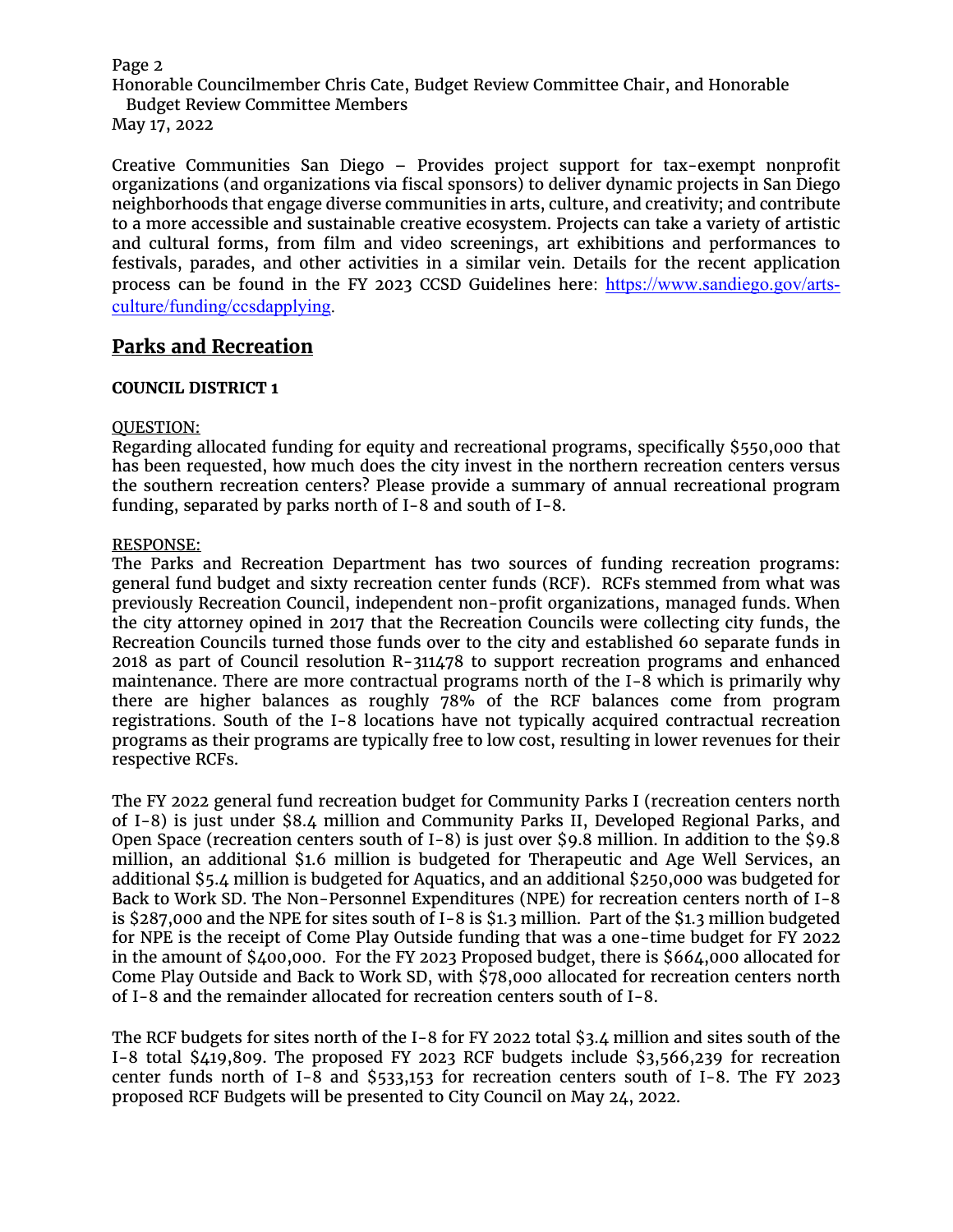#### Page 2

Honorable Councilmember Chris Cate, Budget Review Committee Chair, and Honorable Budget Review Committee Members

May 17, 2022

Creative Communities San Diego – Provides project support for tax-exempt nonprofit organizations (and organizations via fiscal sponsors) to deliver dynamic projects in San Diego neighborhoods that engage diverse communities in arts, culture, and creativity; and contribute to a more accessible and sustainable creative ecosystem. Projects can take a variety of artistic and cultural forms, from film and video screenings, art exhibitions and performances to festivals, parades, and other activities in a similar vein. Details for the recent application process can be found in the FY 2023 CCSD Guidelines here: [https://www.sandiego.gov/arts](https://www.sandiego.gov/arts-culture/funding/ccsdapplying)[culture/funding/ccsdapplying.](https://www.sandiego.gov/arts-culture/funding/ccsdapplying)

## **Parks and Recreation**

### **COUNCIL DISTRICT 1**

#### QUESTION:

Regarding allocated funding for equity and recreational programs, specifically \$550,000 that has been requested, how much does the city invest in the northern recreation centers versus the southern recreation centers? Please provide a summary of annual recreational program funding, separated by parks north of I-8 and south of I-8.

### RESPONSE:

The Parks and Recreation Department has two sources of funding recreation programs: general fund budget and sixty recreation center funds (RCF). RCFs stemmed from what was previously Recreation Council, independent non-profit organizations, managed funds. When the city attorney opined in 2017 that the Recreation Councils were collecting city funds, the Recreation Councils turned those funds over to the city and established 60 separate funds in 2018 as part of Council resolution R-311478 to support recreation programs and enhanced maintenance. There are more contractual programs north of the I-8 which is primarily why there are higher balances as roughly 78% of the RCF balances come from program registrations. South of the I-8 locations have not typically acquired contractual recreation programs as their programs are typically free to low cost, resulting in lower revenues for their respective RCFs.

The FY 2022 general fund recreation budget for Community Parks I (recreation centers north of I-8) is just under \$8.4 million and Community Parks II, Developed Regional Parks, and Open Space (recreation centers south of I-8) is just over \$9.8 million. In addition to the \$9.8 million, an additional \$1.6 million is budgeted for Therapeutic and Age Well Services, an additional \$5.4 million is budgeted for Aquatics, and an additional \$250,000 was budgeted for Back to Work SD. The Non-Personnel Expenditures (NPE) for recreation centers north of I-8 is \$287,000 and the NPE for sites south of I-8 is \$1.3 million. Part of the \$1.3 million budgeted for NPE is the receipt of Come Play Outside funding that was a one-time budget for FY 2022 in the amount of \$400,000. For the FY 2023 Proposed budget, there is \$664,000 allocated for Come Play Outside and Back to Work SD, with \$78,000 allocated for recreation centers north of I-8 and the remainder allocated for recreation centers south of I-8.

The RCF budgets for sites north of the I-8 for FY 2022 total \$3.4 million and sites south of the I-8 total \$419,809. The proposed FY 2023 RCF budgets include \$3,566,239 for recreation center funds north of I-8 and \$533,153 for recreation centers south of I-8. The FY 2023 proposed RCF Budgets will be presented to City Council on May 24, 2022.